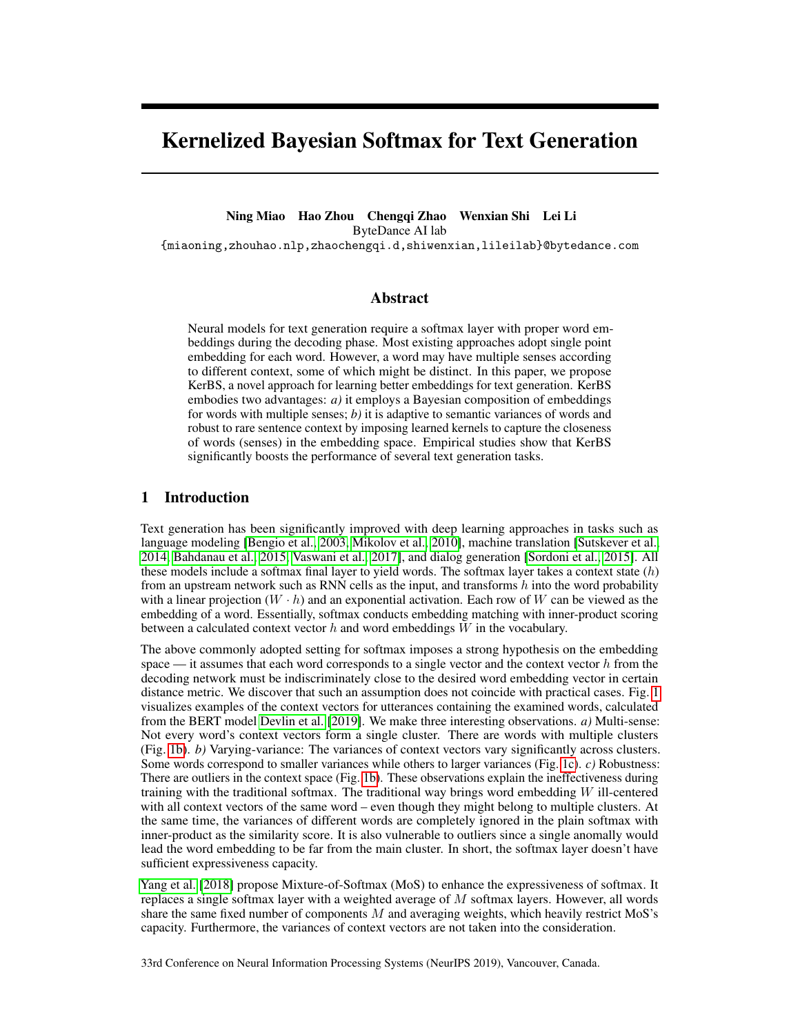# Kernelized Bayesian Softmax for Text Generation

Ning Miao Hao Zhou Chengqi Zhao Wenxian Shi Lei Li ByteDance AI lab

{miaoning,zhouhao.nlp,zhaochengqi.d,shiwenxian,lileilab}@bytedance.com

# Abstract

Neural models for text generation require a softmax layer with proper word embeddings during the decoding phase. Most existing approaches adopt single point embedding for each word. However, a word may have multiple senses according to different context, some of which might be distinct. In this paper, we propose KerBS, a novel approach for learning better embeddings for text generation. KerBS embodies two advantages: *a)* it employs a Bayesian composition of embeddings for words with multiple senses; *b)* it is adaptive to semantic variances of words and robust to rare sentence context by imposing learned kernels to capture the closeness of words (senses) in the embedding space. Empirical studies show that KerBS significantly boosts the performance of several text generation tasks.

# 1 Introduction

Text generation has been significantly improved with deep learning approaches in tasks such as language modeling [Bengio et al., 2003, Mikolov et al., 2010], machine translation [Sutskever et al., 2014, Bahdanau et al., 2015, Vaswani et al., 2017], and dialog generation [Sordoni et al., 2015]. All these models include a softmax final layer to yield words. The softmax layer takes a context state  $(h)$ from an upstream network such as RNN cells as the input, and transforms  $h$  into the word probability with a linear projection  $(W \cdot h)$  and an exponential activation. Each row of W can be viewed as the embedding of a word. Essentially, softmax conducts embedding matching with inner-product scoring between a calculated context vector  $h$  and word embeddings  $W$  in the vocabulary.

The above commonly adopted setting for softmax imposes a strong hypothesis on the embedding space — it assumes that each word corresponds to a single vector and the context vector  $h$  from the decoding network must be indiscriminately close to the desired word embedding vector in certain distance metric. We discover that such an assumption does not coincide with practical cases. Fig. 1 visualizes examples of the context vectors for utterances containing the examined words, calculated from the BERT model Devlin et al. [2019]. We make three interesting observations. *a)* Multi-sense: Not every word's context vectors form a single cluster. There are words with multiple clusters (Fig. 1b). *b)* Varying-variance: The variances of context vectors vary significantly across clusters. Some words correspond to smaller variances while others to larger variances (Fig. 1c). *c)* Robustness: There are outliers in the context space (Fig. 1b). These observations explain the ineffectiveness during training with the traditional softmax. The traditional way brings word embedding  $W$  ill-centered with all context vectors of the same word – even though they might belong to multiple clusters. At the same time, the variances of different words are completely ignored in the plain softmax with inner-product as the similarity score. It is also vulnerable to outliers since a single anomally would lead the word embedding to be far from the main cluster. In short, the softmax layer doesn't have sufficient expressiveness capacity.

Yang et al. [2018] propose Mixture-of-Softmax (MoS) to enhance the expressiveness of softmax. It replaces a single softmax layer with a weighted average of  $M$  softmax layers. However, all words share the same fixed number of components  $M$  and averaging weights, which heavily restrict MoS's capacity. Furthermore, the variances of context vectors are not taken into the consideration.

33rd Conference on Neural Information Processing Systems (NeurIPS 2019), Vancouver, Canada.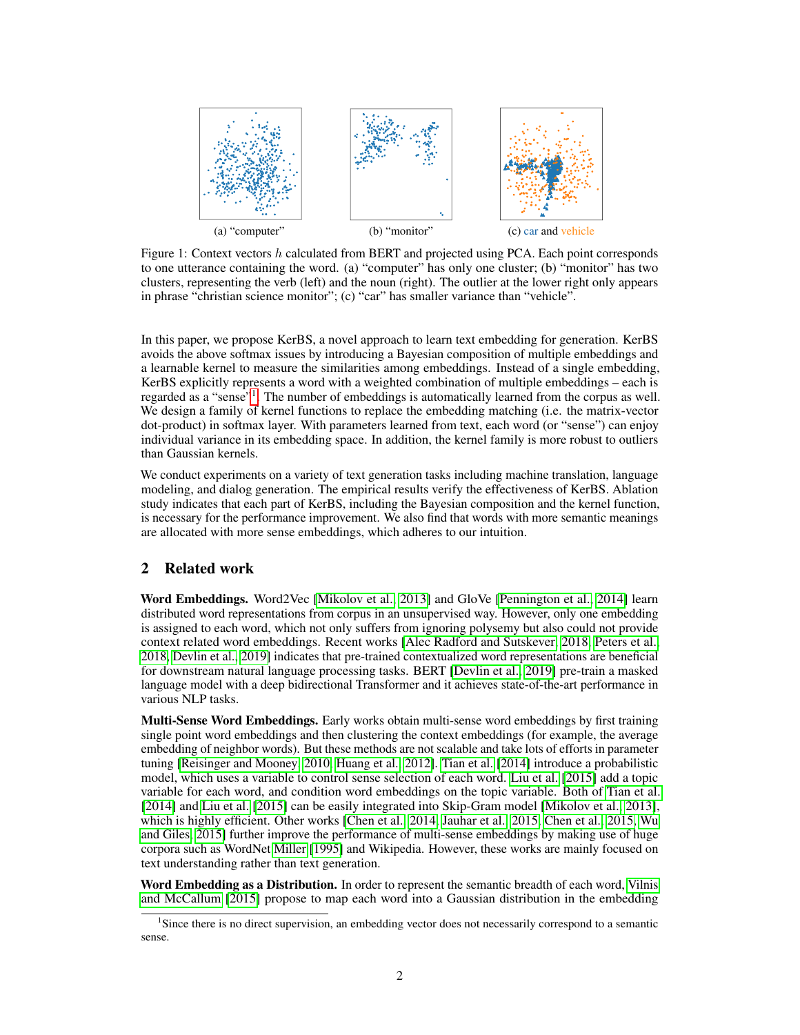

Figure 1: Context vectors h calculated from BERT and projected using PCA. Each point corresponds to one utterance containing the word. (a) "computer" has only one cluster; (b) "monitor" has two clusters, representing the verb (left) and the noun (right). The outlier at the lower right only appears in phrase "christian science monitor"; (c) "car" has smaller variance than "vehicle".

In this paper, we propose KerBS, a novel approach to learn text embedding for generation. KerBS avoids the above softmax issues by introducing a Bayesian composition of multiple embeddings and a learnable kernel to measure the similarities among embeddings. Instead of a single embedding, KerBS explicitly represents a word with a weighted combination of multiple embeddings – each is regarded as a "sense"<sup>1</sup>. The number of embeddings is automatically learned from the corpus as well. We design a family of kernel functions to replace the embedding matching (i.e. the matrix-vector dot-product) in softmax layer. With parameters learned from text, each word (or "sense") can enjoy individual variance in its embedding space. In addition, the kernel family is more robust to outliers than Gaussian kernels.

We conduct experiments on a variety of text generation tasks including machine translation, language modeling, and dialog generation. The empirical results verify the effectiveness of KerBS. Ablation study indicates that each part of KerBS, including the Bayesian composition and the kernel function, is necessary for the performance improvement. We also find that words with more semantic meanings are allocated with more sense embeddings, which adheres to our intuition.

# 2 Related work

Word Embeddings. Word2Vec [Mikolov et al., 2013] and GloVe [Pennington et al., 2014] learn distributed word representations from corpus in an unsupervised way. However, only one embedding is assigned to each word, which not only suffers from ignoring polysemy but also could not provide context related word embeddings. Recent works [Alec Radford and Sutskever, 2018, Peters et al., 2018, Devlin et al., 2019] indicates that pre-trained contextualized word representations are beneficial for downstream natural language processing tasks. BERT [Devlin et al., 2019] pre-train a masked language model with a deep bidirectional Transformer and it achieves state-of-the-art performance in various NLP tasks.

**Multi-Sense Word Embeddings.** Early works obtain multi-sense word embeddings by first training single point word embeddings and then clustering the context embeddings (for example, the average embedding of neighbor words). But these methods are not scalable and take lots of efforts in parameter tuning [Reisinger and Mooney, 2010, Huang et al., 2012]. Tian et al. [2014] introduce a probabilistic model, which uses a variable to control sense selection of each word. Liu et al. [2015] add a topic variable for each word, and condition word embeddings on the topic variable. Both of Tian et al. [2014] and Liu et al. [2015] can be easily integrated into Skip-Gram model [Mikolov et al., 2013], which is highly efficient. Other works [Chen et al., 2014, Jauhar et al., 2015, Chen et al., 2015, Wu and Giles, 2015] further improve the performance of multi-sense embeddings by making use of huge corpora such as WordNet Miller [1995] and Wikipedia. However, these works are mainly focused on text understanding rather than text generation.

Word Embedding as a Distribution. In order to represent the semantic breadth of each word, Vilnis and McCallum [2015] propose to map each word into a Gaussian distribution in the embedding

<sup>&</sup>lt;sup>1</sup>Since there is no direct supervision, an embedding vector does not necessarily correspond to a semantic sense.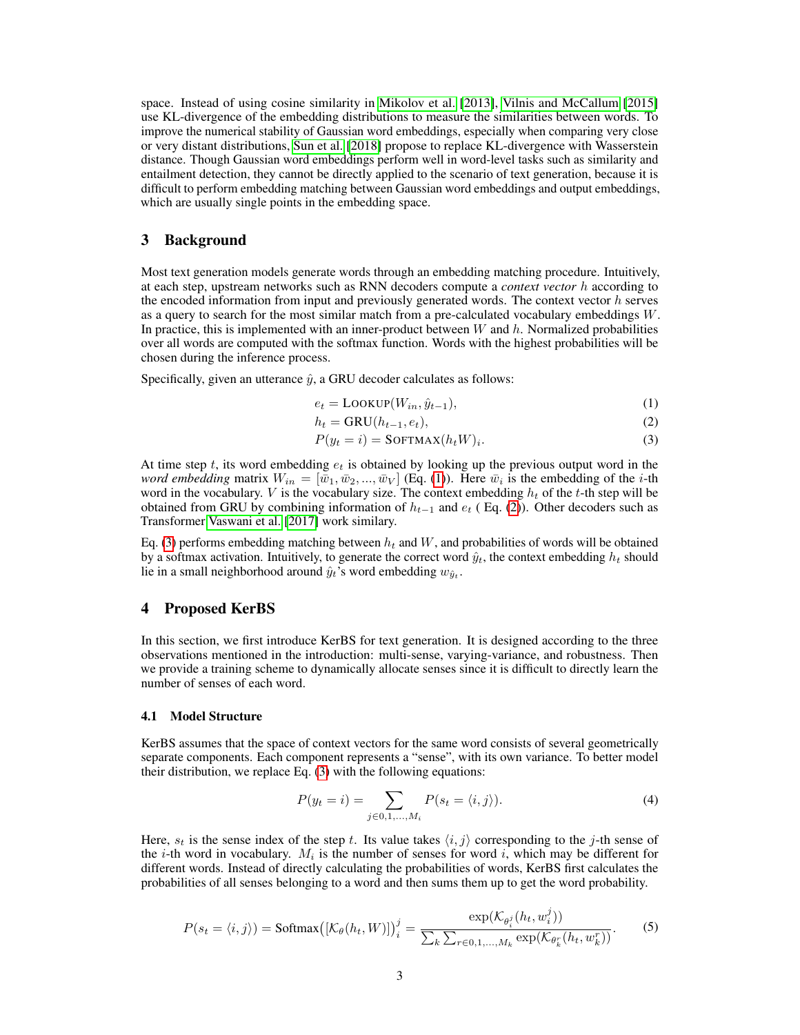space. Instead of using cosine similarity in Mikolov et al. [2013], Vilnis and McCallum [2015] use KL-divergence of the embedding distributions to measure the similarities between words. To improve the numerical stability of Gaussian word embeddings, especially when comparing very close or very distant distributions, Sun et al. [2018] propose to replace KL-divergence with Wasserstein distance. Though Gaussian word embeddings perform well in word-level tasks such as similarity and entailment detection, they cannot be directly applied to the scenario of text generation, because it is difficult to perform embedding matching between Gaussian word embeddings and output embeddings, which are usually single points in the embedding space.

# 3 Background

Most text generation models generate words through an embedding matching procedure. Intuitively, at each step, upstream networks such as RNN decoders compute a *context vector* h according to the encoded information from input and previously generated words. The context vector  $h$  serves as a query to search for the most similar match from a pre-calculated vocabulary embeddings  $W$ . In practice, this is implemented with an inner-product between  $W$  and  $h$ . Normalized probabilities over all words are computed with the softmax function. Words with the highest probabilities will be chosen during the inference process.

Specifically, given an utterance  $\hat{y}$ , a GRU decoder calculates as follows:

$$
e_t = \text{LOOKUP}(W_{in}, \hat{y}_{t-1}),\tag{1}
$$

$$
h_t = \text{GRU}(h_{t-1}, e_t),\tag{2}
$$

$$
P(y_t = i) = \text{SOFTMAX}(h_t W)_i. \tag{3}
$$

At time step t, its word embedding  $e_t$  is obtained by looking up the previous output word in the *word embedding* matrix  $W_{in} = [\bar{w}_1, \bar{w}_2, ..., \bar{w}_V]$  (Eq. (1)). Here  $\bar{w}_i$  is the embedding of the *i*-th word in the vocabulary. V is the vocabulary size. The context embedding  $h_t$  of the t-th step will be obtained from GRU by combining information of  $h_{t-1}$  and  $e_t$  (Eq. (2)). Other decoders such as Transformer Vaswani et al. [2017] work similary.

Eq. (3) performs embedding matching between  $h_t$  and W, and probabilities of words will be obtained by a softmax activation. Intuitively, to generate the correct word  $\hat{y}_t$ , the context embedding  $h_t$  should lie in a small neighborhood around  $\hat{y}_t$ 's word embedding  $w_{\hat{y}_t}$ .

# 4 Proposed KerBS

In this section, we first introduce KerBS for text generation. It is designed according to the three observations mentioned in the introduction: multi-sense, varying-variance, and robustness. Then we provide a training scheme to dynamically allocate senses since it is difficult to directly learn the number of senses of each word.

#### 4.1 Model Structure

KerBS assumes that the space of context vectors for the same word consists of several geometrically separate components. Each component represents a "sense", with its own variance. To better model their distribution, we replace Eq. (3) with the following equations:

$$
P(y_t = i) = \sum_{j \in 0, 1, ..., M_i} P(s_t = \langle i, j \rangle).
$$
 (4)

Here,  $s_t$  is the sense index of the step t. Its value takes  $\langle i, j \rangle$  corresponding to the j-th sense of the *i*-th word in vocabulary.  $M_i$  is the number of senses for word *i*, which may be different for different words. Instead of directly calculating the probabilities of words, KerBS first calculates the probabilities of all senses belonging to a word and then sums them up to get the word probability.

$$
P(s_t = \langle i, j \rangle) = \text{Softmax}\left( [\mathcal{K}_{\theta}(h_t, W)] \right)_i^j = \frac{\exp(\mathcal{K}_{\theta_i^j}(h_t, w_i^j))}{\sum_k \sum_{r \in \mathcal{O}, 1, ..., M_k} \exp(\mathcal{K}_{\theta_k^r}(h_t, w_k^r))}.
$$
 (5)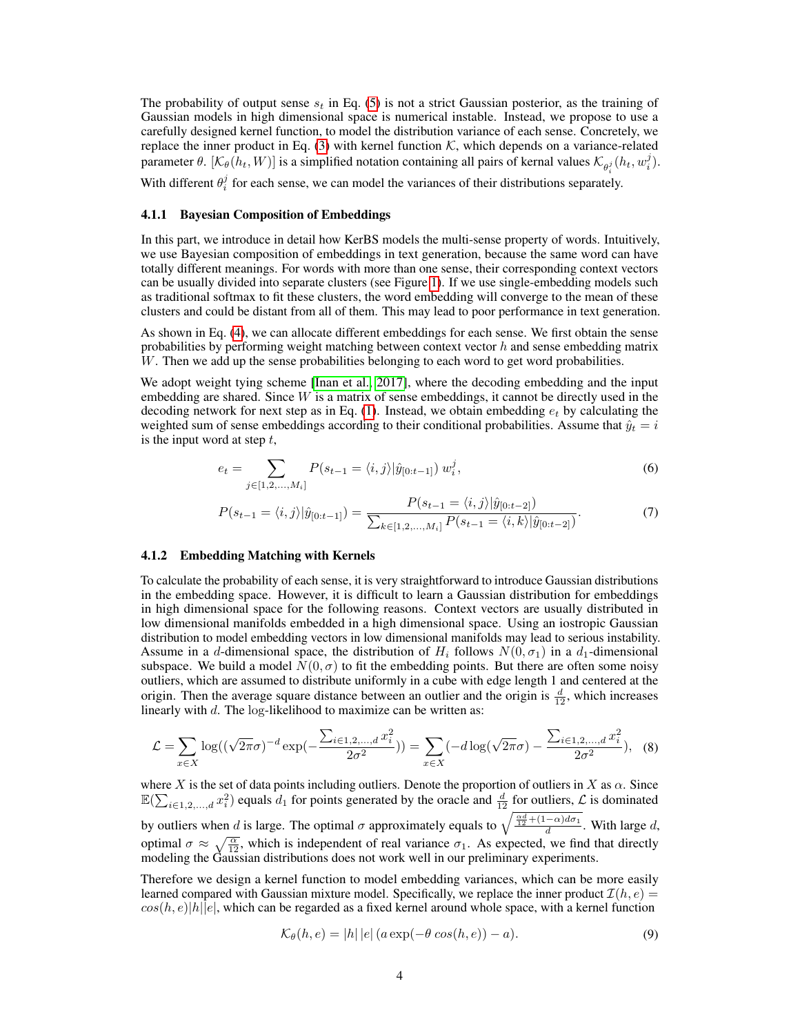The probability of output sense  $s_t$  in Eq. (5) is not a strict Gaussian posterior, as the training of Gaussian models in high dimensional space is numerical instable. Instead, we propose to use a carefully designed kernel function, to model the distribution variance of each sense. Concretely, we replace the inner product in Eq. (3) with kernel function  $K$ , which depends on a variance-related parameter  $\theta$ .  $[\mathcal{K}_{\theta}(h_t, W)]$  is a simplified notation containing all pairs of kernal values  $\mathcal{K}_{\theta_i^j}(h_t, w_i^j)$ . With different  $\theta_i^j$  for each sense, we can model the variances of their distributions separately.

#### 4.1.1 Bayesian Composition of Embeddings

In this part, we introduce in detail how KerBS models the multi-sense property of words. Intuitively, we use Bayesian composition of embeddings in text generation, because the same word can have totally different meanings. For words with more than one sense, their corresponding context vectors can be usually divided into separate clusters (see Figure 1). If we use single-embedding models such as traditional softmax to fit these clusters, the word embedding will converge to the mean of these clusters and could be distant from all of them. This may lead to poor performance in text generation.

As shown in Eq. (4), we can allocate different embeddings for each sense. We first obtain the sense probabilities by performing weight matching between context vector  $h$  and sense embedding matrix W. Then we add up the sense probabilities belonging to each word to get word probabilities.

We adopt weight tying scheme [Inan et al., 2017], where the decoding embedding and the input embedding are shared. Since  $W$  is a matrix of sense embeddings, it cannot be directly used in the decoding network for next step as in Eq.  $(1)$ . Instead, we obtain embedding  $e_t$  by calculating the weighted sum of sense embeddings according to their conditional probabilities. Assume that  $\hat{y}_t = i$ is the input word at step  $t$ ,

$$
e_t = \sum_{j \in [1, 2, ..., M_i]} P(s_{t-1} = \langle i, j \rangle | \hat{y}_{[0:t-1]}) w_i^j,
$$
\n(6)

$$
P(s_{t-1} = \langle i, j \rangle | \hat{y}_{[0:t-1]}) = \frac{P(s_{t-1} = \langle i, j \rangle | \hat{y}_{[0:t-2]})}{\sum_{k \in [1, 2, ..., M_i]} P(s_{t-1} = \langle i, k \rangle | \hat{y}_{[0:t-2]})}.
$$
(7)

#### 4.1.2 Embedding Matching with Kernels

To calculate the probability of each sense, it is very straightforward to introduce Gaussian distributions in the embedding space. However, it is difficult to learn a Gaussian distribution for embeddings in high dimensional space for the following reasons. Context vectors are usually distributed in low dimensional manifolds embedded in a high dimensional space. Using an iostropic Gaussian distribution to model embedding vectors in low dimensional manifolds may lead to serious instability. Assume in a d-dimensional space, the distribution of  $H_i$  follows  $N(0, \sigma_1)$  in a  $d_1$ -dimensional subspace. We build a model  $N(0, \sigma)$  to fit the embedding points. But there are often some noisy outliers, which are assumed to distribute uniformly in a cube with edge length 1 and centered at the origin. Then the average square distance between an outlier and the origin is  $\frac{d}{12}$ , which increases linearly with d. The log-likelihood to maximize can be written as:

$$
\mathcal{L} = \sum_{x \in X} \log((\sqrt{2\pi}\sigma)^{-d} \exp(-\frac{\sum_{i \in 1, 2, ..., d} x_i^2}{2\sigma^2})) = \sum_{x \in X} (-d \log(\sqrt{2\pi}\sigma) - \frac{\sum_{i \in 1, 2, ..., d} x_i^2}{2\sigma^2}), \tag{8}
$$

where X is the set of data points including outliers. Denote the proportion of outliers in X as  $\alpha$ . Since  $\mathbb{E}(\sum_{i\in 1,2,...,d}x_i^2)$  equals  $d_1$  for points generated by the oracle and  $\frac{d}{12}$  for outliers,  $\mathcal L$  is dominated by outliers when d is large. The optimal  $\sigma$  approximately equals to  $\sqrt{\frac{\alpha d}{12} + (1-\alpha)d\sigma_1}$ . With large d, optimal  $\sigma \approx \sqrt{\frac{\alpha}{12}}$ , which is independent of real variance  $\sigma_1$ . As expected, we find that directly modeling the Gaussian distributions does not work well in our preliminary experiments.

Therefore we design a kernel function to model embedding variances, which can be more easily learned compared with Gaussian mixture model. Specifically, we replace the inner product  $\mathcal{I}(h, e)$  $cos(h, e)|h||e|$ , which can be regarded as a fixed kernel around whole space, with a kernel function

$$
\mathcal{K}_{\theta}(h,e) = |h| |e| \left( a \exp(-\theta \cos(h,e)) - a \right). \tag{9}
$$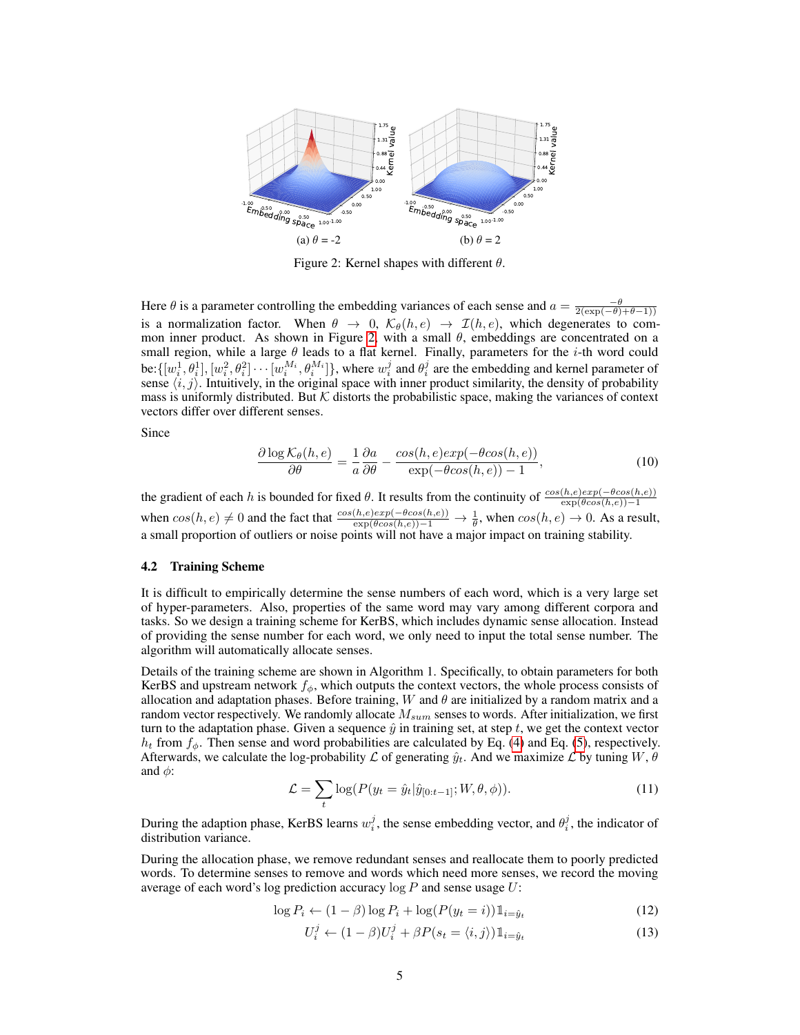

Figure 2: Kernel shapes with different  $\theta$ .

Here  $\theta$  is a parameter controlling the embedding variances of each sense and  $a = \frac{-\theta}{2(\exp(-\theta) + \theta - 1)}$ is a normalization factor. When  $\theta \to 0$ ,  $\mathcal{K}_{\theta}(h, e) \to \mathcal{I}(h, e)$ , which degenerates to common inner product. As shown in Figure 2, with a small  $\theta$ , embeddings are concentrated on a small region, while a large  $\theta$  leads to a flat kernel. Finally, parameters for the *i*-th word could be:  $\{[w_i^1, \theta_i^1], [w_i^2, \theta_i^2] \cdots [w_i^{M_i}, \theta_i^{M_i}]\}$ , where  $w_i^j$  and  $\theta_i^j$  are the embedding and kernel parameter of sense  $\langle i, j \rangle$ . Intuitively, in the original space with inner product similarity, the density of probability mass is uniformly distributed. But  $K$  distorts the probabilistic space, making the variances of context vectors differ over different senses.

Since

$$
\frac{\partial \log \mathcal{K}_{\theta}(h,e)}{\partial \theta} = \frac{1}{a} \frac{\partial a}{\partial \theta} - \frac{\cos(h,e) \exp(-\theta \cos(h,e))}{\exp(-\theta \cos(h,e)) - 1},\tag{10}
$$

the gradient of each h is bounded for fixed  $\theta$ . It results from the continuity of  $\frac{\cos(h,e)\exp(-\theta cos(h,e))}{\exp(\theta cos(h,e)) - 1}$ when  $cos(h, e) \neq 0$  and the fact that  $\frac{cos(h, e)exp(-\theta cos(h, e))}{exp(\theta cos(h, e)) - 1} \rightarrow \frac{1}{\theta}$ , when  $cos(h, e) \rightarrow 0$ . As a result, a small proportion of outliers or noise points will not have a major impact on training stability.

#### 4.2 Training Scheme

It is difficult to empirically determine the sense numbers of each word, which is a very large set of hyper-parameters. Also, properties of the same word may vary among different corpora and tasks. So we design a training scheme for KerBS, which includes dynamic sense allocation. Instead of providing the sense number for each word, we only need to input the total sense number. The algorithm will automatically allocate senses.

Details of the training scheme are shown in Algorithm 1. Specifically, to obtain parameters for both KerBS and upstream network  $f_{\phi}$ , which outputs the context vectors, the whole process consists of allocation and adaptation phases. Before training, W and  $\theta$  are initialized by a random matrix and a random vector respectively. We randomly allocate  $M_{sum}$  senses to words. After initialization, we first turn to the adaptation phase. Given a sequence  $\hat{y}$  in training set, at step t, we get the context vector  $h_t$  from  $f_\phi$ . Then sense and word probabilities are calculated by Eq. (4) and Eq. (5), respectively. Afterwards, we calculate the log-probability  $\mathcal L$  of generating  $\hat y_t$ . And we maximize  $\mathcal L$  by tuning  $W, \theta$ and  $\phi$ :

$$
\mathcal{L} = \sum_{t} \log(P(y_t = \hat{y}_t | \hat{y}_{[0:t-1]}; W, \theta, \phi)).
$$
\n(11)

During the adaption phase, KerBS learns  $w_i^j$ , the sense embedding vector, and  $\theta_i^j$ , the indicator of distribution variance.

During the allocation phase, we remove redundant senses and reallocate them to poorly predicted words. To determine senses to remove and words which need more senses, we record the moving average of each word's log prediction accuracy  $\log P$  and sense usage  $U$ :

$$
\log P_i \leftarrow (1 - \beta) \log P_i + \log(P(y_t = i)) \mathbb{1}_{i = \hat{y}_t} \tag{12}
$$

$$
U_i^j \leftarrow (1 - \beta)U_i^j + \beta P(s_t = \langle i, j \rangle) \mathbb{1}_{i = \hat{y}_t}
$$
\n(13)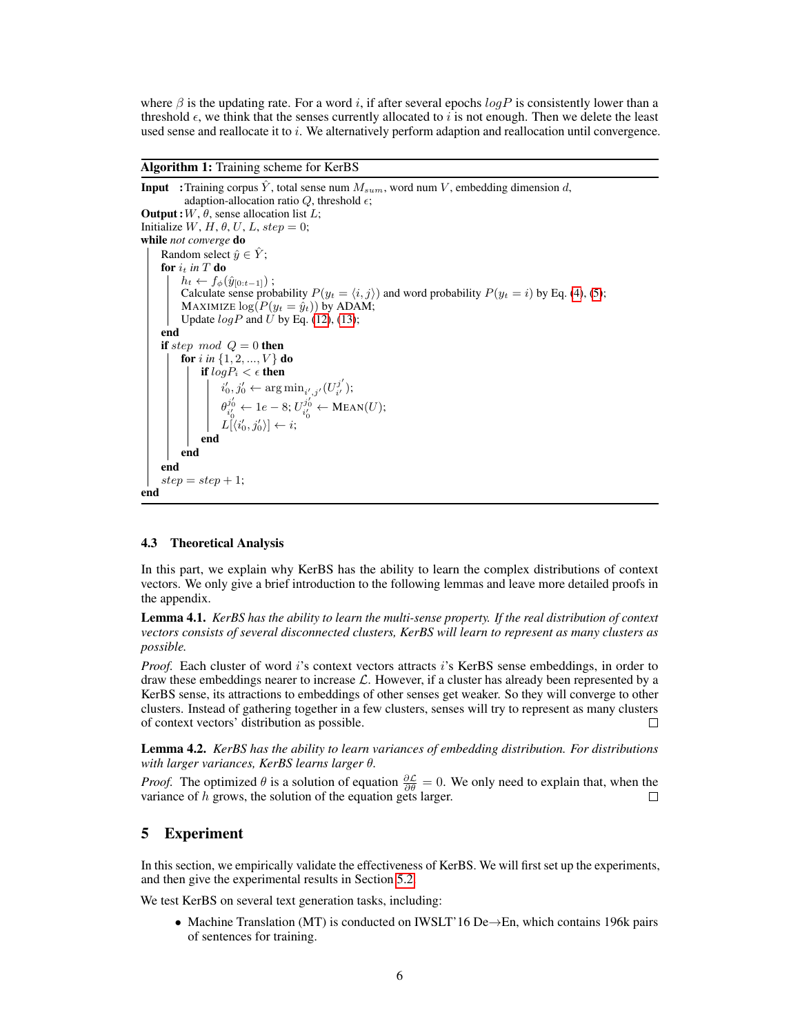where  $\beta$  is the updating rate. For a word i, if after several epochs logP is consistently lower than a threshold  $\epsilon$ , we think that the senses currently allocated to i is not enough. Then we delete the least used sense and reallocate it to  $i$ . We alternatively perform adaption and reallocation until convergence.

Algorithm 1: Training scheme for KerBS

**Input** :Training corpus  $\hat{Y}$ , total sense num  $M_{sum}$ , word num  $V$ , embedding dimension d, adaption-allocation ratio  $Q$ , threshold  $\epsilon$ ; **Output**:  $W$ ,  $\theta$ , sense allocation list  $L$ ; Initialize  $W$ ,  $H$ ,  $\theta$ ,  $U$ ,  $L$ ,  $step = 0$ ; while *not converge* do Random select  $\hat{y} \in \hat{Y}$ ; for  $i_t$  in T do  $h_t \leftarrow f_{\phi}(\hat{y}_{[0:t-1]})$ ; Calculate sense probability  $P(y_t = \langle i, j \rangle)$  and word probability  $P(y_t = i)$  by Eq. (4), (5); MAXIMIZE  $log(P(y_t = \hat{y}_t))$  by ADAM; Update  $logP$  and U by Eq. (12), (13); end if step mod  $Q = 0$  then **for** i in  $\{1, 2, ..., V\}$  do if  $logP_i < \epsilon$  then  $i'_0, j'_0 \leftarrow \argmin_{i', j'} (U^{j'}_{i'})$  $\frac{\jmath}{i^{\prime}}$  );  $\theta_{i'_0}^{j'_0} \leftarrow 1e-8; U_{i'_0}^{j'_0} \leftarrow \text{Mean}(U);$  $L[\langle i'_0, j'_0 \rangle] \leftarrow i;$ end end end  $step = step + 1;$ end

#### 4.3 Theoretical Analysis

In this part, we explain why KerBS has the ability to learn the complex distributions of context vectors. We only give a brief introduction to the following lemmas and leave more detailed proofs in the appendix.

Lemma 4.1. *KerBS has the ability to learn the multi-sense property. If the real distribution of context vectors consists of several disconnected clusters, KerBS will learn to represent as many clusters as possible.*

*Proof.* Each cluster of word i's context vectors attracts i's KerBS sense embeddings, in order to draw these embeddings nearer to increase  $\mathcal{L}$ . However, if a cluster has already been represented by a KerBS sense, its attractions to embeddings of other senses get weaker. So they will converge to other clusters. Instead of gathering together in a few clusters, senses will try to represent as many clusters of context vectors' distribution as possible. П

Lemma 4.2. *KerBS has the ability to learn variances of embedding distribution. For distributions with larger variances, KerBS learns larger* θ*.*

*Proof.* The optimized  $\theta$  is a solution of equation  $\frac{\partial \mathcal{L}}{\partial \theta} = 0$ . We only need to explain that, when the variance of  $h$  grows, the solution of the equation gets larger.

# 5 Experiment

In this section, we empirically validate the effectiveness of KerBS. We will first set up the experiments, and then give the experimental results in Section 5.2.

We test KerBS on several text generation tasks, including:

• Machine Translation (MT) is conducted on IWSLT'16 De→En, which contains 196k pairs of sentences for training.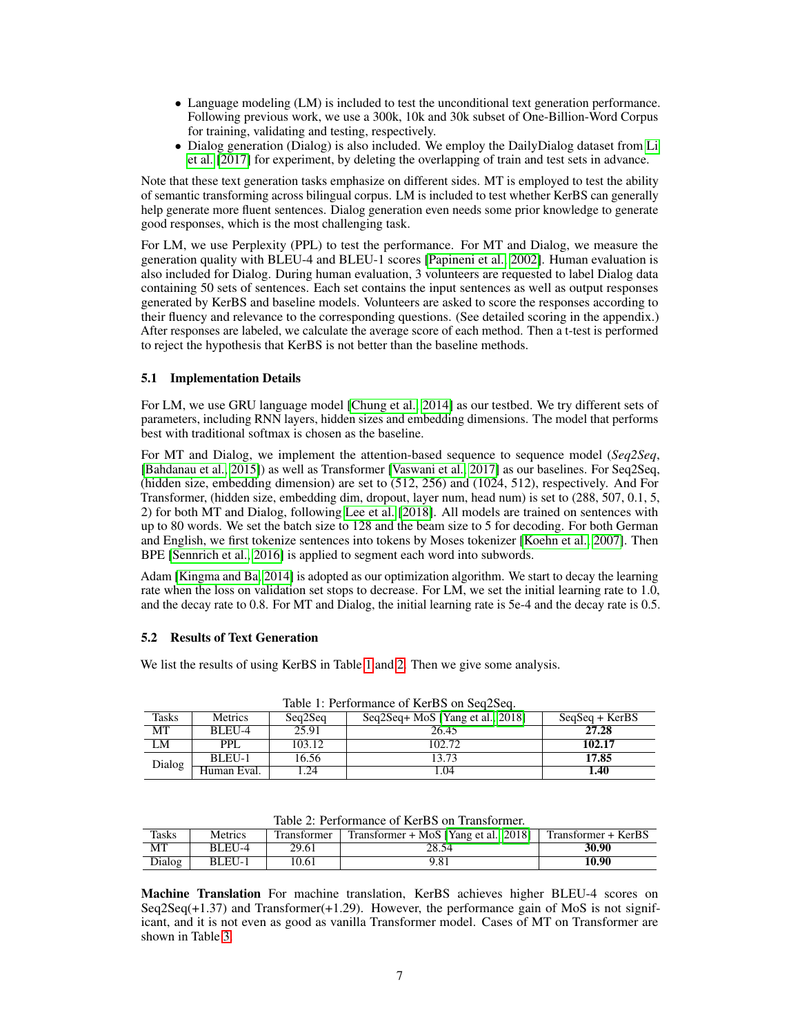- Language modeling (LM) is included to test the unconditional text generation performance. Following previous work, we use a 300k, 10k and 30k subset of One-Billion-Word Corpus for training, validating and testing, respectively.
- Dialog generation (Dialog) is also included. We employ the DailyDialog dataset from Li et al. [2017] for experiment, by deleting the overlapping of train and test sets in advance.

Note that these text generation tasks emphasize on different sides. MT is employed to test the ability of semantic transforming across bilingual corpus. LM is included to test whether KerBS can generally help generate more fluent sentences. Dialog generation even needs some prior knowledge to generate good responses, which is the most challenging task.

For LM, we use Perplexity (PPL) to test the performance. For MT and Dialog, we measure the generation quality with BLEU-4 and BLEU-1 scores [Papineni et al., 2002]. Human evaluation is also included for Dialog. During human evaluation, 3 volunteers are requested to label Dialog data containing 50 sets of sentences. Each set contains the input sentences as well as output responses generated by KerBS and baseline models. Volunteers are asked to score the responses according to their fluency and relevance to the corresponding questions. (See detailed scoring in the appendix.) After responses are labeled, we calculate the average score of each method. Then a t-test is performed to reject the hypothesis that KerBS is not better than the baseline methods.

# 5.1 Implementation Details

For LM, we use GRU language model [Chung et al., 2014] as our testbed. We try different sets of parameters, including RNN layers, hidden sizes and embedding dimensions. The model that performs best with traditional softmax is chosen as the baseline.

For MT and Dialog, we implement the attention-based sequence to sequence model (*Seq2Seq*, [Bahdanau et al., 2015]) as well as Transformer [Vaswani et al., 2017] as our baselines. For Seq2Seq, (hidden size, embedding dimension) are set to (512, 256) and (1024, 512), respectively. And For Transformer, (hidden size, embedding dim, dropout, layer num, head num) is set to (288, 507, 0.1, 5, 2) for both MT and Dialog, following Lee et al. [2018]. All models are trained on sentences with up to 80 words. We set the batch size to 128 and the beam size to 5 for decoding. For both German and English, we first tokenize sentences into tokens by Moses tokenizer [Koehn et al., 2007]. Then BPE [Sennrich et al., 2016] is applied to segment each word into subwords.

Adam [Kingma and Ba, 2014] is adopted as our optimization algorithm. We start to decay the learning rate when the loss on validation set stops to decrease. For LM, we set the initial learning rate to 1.0, and the decay rate to 0.8. For MT and Dialog, the initial learning rate is 5e-4 and the decay rate is 0.5.

# 5.2 Results of Text Generation

We list the results of using KerBS in Table 1 and 2. Then we give some analysis.

| Table 1. I chromiance of Kelling on Seq2Seq. |                |                                             |        |                  |  |
|----------------------------------------------|----------------|---------------------------------------------|--------|------------------|--|
| Tasks                                        | <b>Metrics</b> | Seq2Seq+ MoS [Yang et al., 2018]<br>Seq2Seq |        | $SeqSeq + KerBS$ |  |
| МT                                           | BLEU-4         | 25.91                                       | 26.45  | 27.28            |  |
| LM                                           | PPI.<br>103.12 |                                             | 102.72 | 102.17           |  |
| Dialog                                       | BLEU-1         | 16.56                                       | 13.73  | 17.85            |  |
|                                              | Human Eval.    | 24                                          | . 04   | 1.40             |  |

Table 1: Performance of  $KerRS$  on  $Seq2Seq$ 

|  | Table 2: Performance of KerBS on Transformer. |
|--|-----------------------------------------------|
|--|-----------------------------------------------|

| Tasks  | Metrics | <b>Transformer</b> | Transformer + MoS [Yang et al., 2018] | Transformer + KerBS |
|--------|---------|--------------------|---------------------------------------|---------------------|
| МT     | BLEU-4  | 29.61              | 28.54                                 | 30.90               |
| Dialog | BLEU-1  | 10.61              | 9.81                                  | 10.90               |

Machine Translation For machine translation, KerBS achieves higher BLEU-4 scores on Seq2Seq( $+1.37$ ) and Transformer( $+1.29$ ). However, the performance gain of MoS is not significant, and it is not even as good as vanilla Transformer model. Cases of MT on Transformer are shown in Table 3.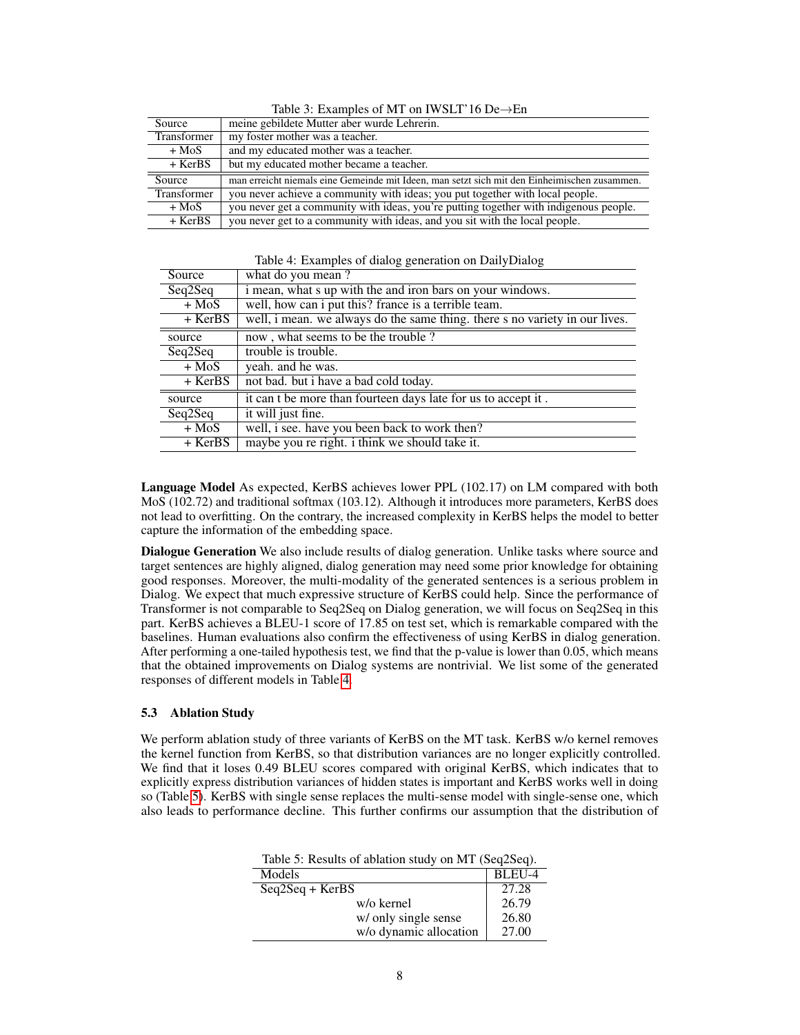| racio $\sigma$ . Examples of $mT$ on $T$ and $T$ to be $T$ and |                                                                                              |  |  |
|----------------------------------------------------------------|----------------------------------------------------------------------------------------------|--|--|
| Source                                                         | meine gebildete Mutter aber wurde Lehrerin.                                                  |  |  |
| Transformer                                                    | my foster mother was a teacher.                                                              |  |  |
| $+$ MoS                                                        | and my educated mother was a teacher.                                                        |  |  |
| $+$ KerBS                                                      | but my educated mother became a teacher.                                                     |  |  |
| Source                                                         | man erreicht niemals eine Gemeinde mit Ideen, man setzt sich mit den Einheimischen zusammen. |  |  |
| Transformer                                                    | you never achieve a community with ideas; you put together with local people.                |  |  |
| + MoS                                                          | you never get a community with ideas, you're putting together with indigenous people.        |  |  |
| $+$ KerBS                                                      | you never get to a community with ideas, and you sit with the local people.                  |  |  |

Table 3: Examples of MT on IWSLT'16 De→En

| Table 4: Examples of dialog generation on DailyDialog |  |  |
|-------------------------------------------------------|--|--|
|                                                       |  |  |

| Source    | what do you mean?                                                           |
|-----------|-----------------------------------------------------------------------------|
| Seq2Seq   | i mean, what s up with the and iron bars on your windows.                   |
| $+$ MoS   | well, how can i put this? france is a terrible team.                        |
| $+$ KerBS | well, i mean. we always do the same thing. there s no variety in our lives. |
| source    | now, what seems to be the trouble?                                          |
| Seq2Seq   | trouble is trouble.                                                         |
| $+$ MoS   | yeah. and he was.                                                           |
| + KerBS   | not bad. but i have a bad cold today.                                       |
| source    | it can t be more than fourteen days late for us to accept it.               |
| Seq2Seq   | it will just fine.                                                          |
| $+$ MoS   | well, i see. have you been back to work then?                               |
| $+$ KerBS | maybe you re right. i think we should take it.                              |
|           |                                                                             |

Language Model As expected, KerBS achieves lower PPL (102.17) on LM compared with both MoS (102.72) and traditional softmax (103.12). Although it introduces more parameters, KerBS does not lead to overfitting. On the contrary, the increased complexity in KerBS helps the model to better capture the information of the embedding space.

Dialogue Generation We also include results of dialog generation. Unlike tasks where source and target sentences are highly aligned, dialog generation may need some prior knowledge for obtaining good responses. Moreover, the multi-modality of the generated sentences is a serious problem in Dialog. We expect that much expressive structure of KerBS could help. Since the performance of Transformer is not comparable to Seq2Seq on Dialog generation, we will focus on Seq2Seq in this part. KerBS achieves a BLEU-1 score of 17.85 on test set, which is remarkable compared with the baselines. Human evaluations also confirm the effectiveness of using KerBS in dialog generation. After performing a one-tailed hypothesis test, we find that the p-value is lower than 0.05, which means that the obtained improvements on Dialog systems are nontrivial. We list some of the generated responses of different models in Table 4.

# 5.3 Ablation Study

We perform ablation study of three variants of KerBS on the MT task. KerBS w/o kernel removes the kernel function from KerBS, so that distribution variances are no longer explicitly controlled. We find that it loses 0.49 BLEU scores compared with original KerBS, which indicates that to explicitly express distribution variances of hidden states is important and KerBS works well in doing so (Table 5). KerBS with single sense replaces the multi-sense model with single-sense one, which also leads to performance decline. This further confirms our assumption that the distribution of

| Table 5: Results of ablation study on MT (Seq2Seq). |        |  |  |
|-----------------------------------------------------|--------|--|--|
| Models                                              | BLEU-4 |  |  |
| $Seq2Seq + KerBS$                                   | 27.28  |  |  |
| w/o kernel                                          | 26.79  |  |  |
| w/ only single sense                                | 26.80  |  |  |
| w/o dynamic allocation                              | 27.00  |  |  |

Table 5: Results of ablation study on MT (Seq2Seq).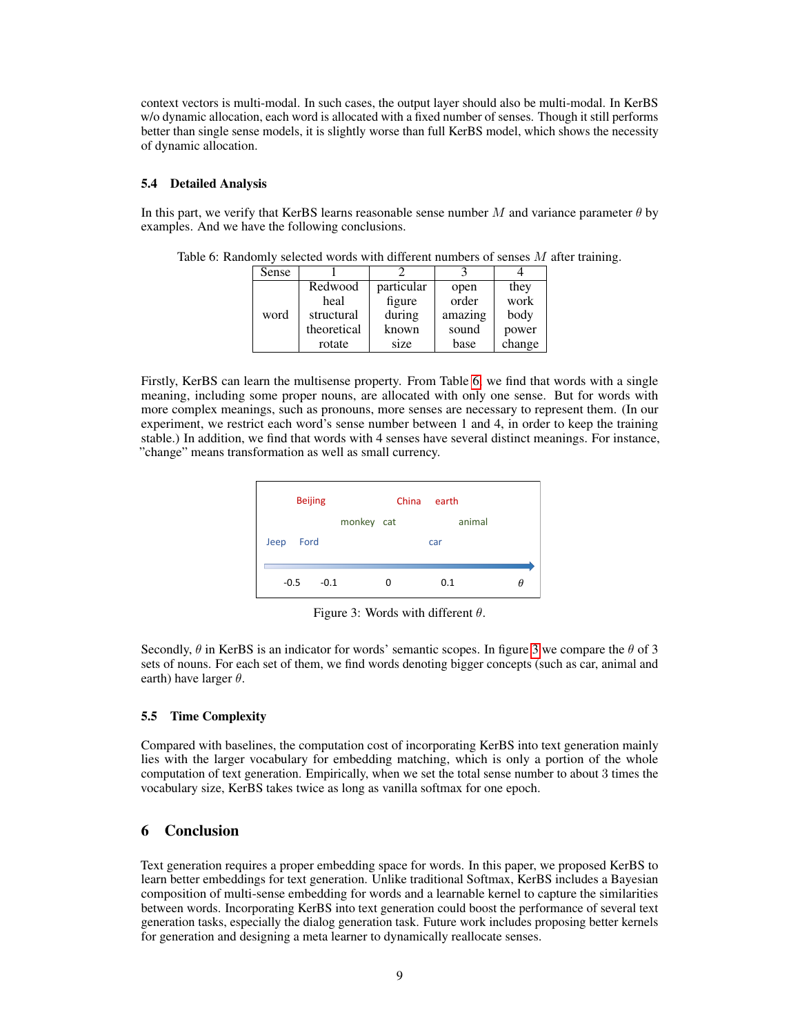context vectors is multi-modal. In such cases, the output layer should also be multi-modal. In KerBS w/o dynamic allocation, each word is allocated with a fixed number of senses. Though it still performs better than single sense models, it is slightly worse than full KerBS model, which shows the necessity of dynamic allocation.

### 5.4 Detailed Analysis

In this part, we verify that KerBS learns reasonable sense number M and variance parameter  $\theta$  by examples. And we have the following conclusions.

|      | Sense      |             |            |       |        |  |
|------|------------|-------------|------------|-------|--------|--|
|      |            | Redwood     | particular | open  | they   |  |
|      |            | heal        | figure     | order | work   |  |
| word | structural | during      | amazing    | body  |        |  |
|      |            | theoretical | known      | sound | power  |  |
|      |            | rotate      | size       | base  | change |  |

Table 6: Randomly selected words with different numbers of senses M after training.

Firstly, KerBS can learn the multisense property. From Table 6, we find that words with a single meaning, including some proper nouns, are allocated with only one sense. But for words with more complex meanings, such as pronouns, more senses are necessary to represent them. (In our experiment, we restrict each word's sense number between 1 and 4, in order to keep the training stable.) In addition, we find that words with 4 senses have several distinct meanings. For instance, "change" means transformation as well as small currency.



Figure 3: Words with different  $\theta$ .

Secondly,  $\theta$  in KerBS is an indicator for words' semantic scopes. In figure 3 we compare the  $\theta$  of 3 sets of nouns. For each set of them, we find words denoting bigger concepts (such as car, animal and earth) have larger  $\theta$ .

#### 5.5 Time Complexity

Compared with baselines, the computation cost of incorporating KerBS into text generation mainly lies with the larger vocabulary for embedding matching, which is only a portion of the whole computation of text generation. Empirically, when we set the total sense number to about 3 times the vocabulary size, KerBS takes twice as long as vanilla softmax for one epoch.

# 6 Conclusion

Text generation requires a proper embedding space for words. In this paper, we proposed KerBS to learn better embeddings for text generation. Unlike traditional Softmax, KerBS includes a Bayesian composition of multi-sense embedding for words and a learnable kernel to capture the similarities between words. Incorporating KerBS into text generation could boost the performance of several text generation tasks, especially the dialog generation task. Future work includes proposing better kernels for generation and designing a meta learner to dynamically reallocate senses.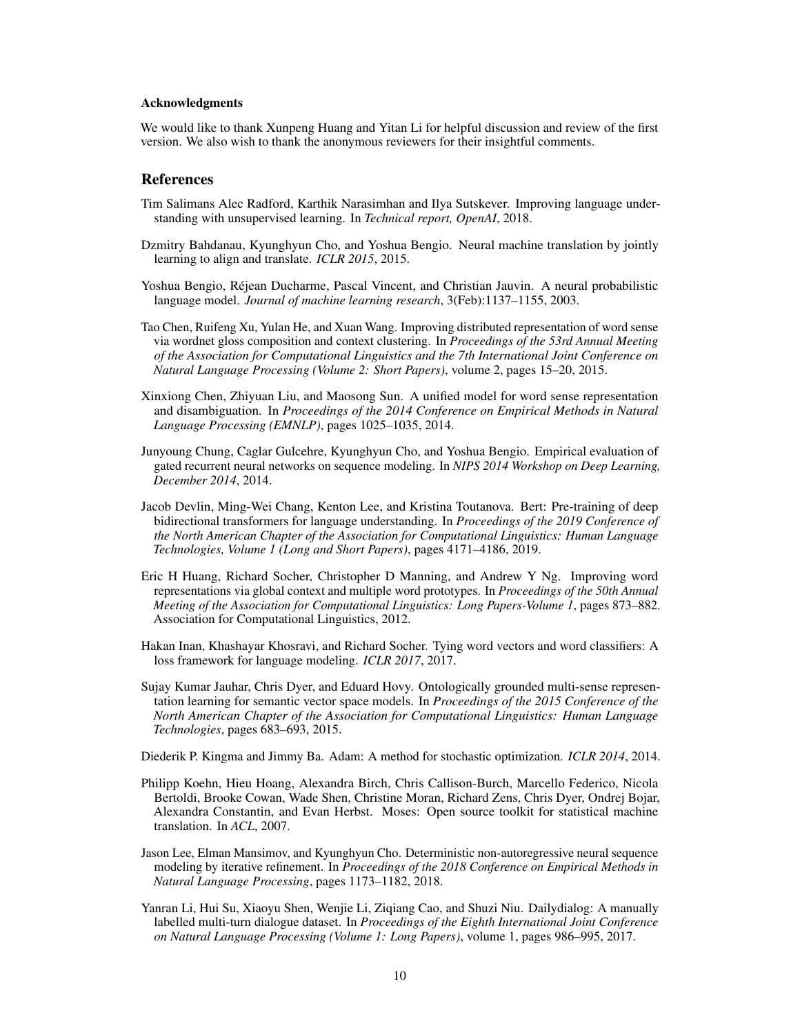#### Acknowledgments

We would like to thank Xunpeng Huang and Yitan Li for helpful discussion and review of the first version. We also wish to thank the anonymous reviewers for their insightful comments.

## References

- Tim Salimans Alec Radford, Karthik Narasimhan and Ilya Sutskever. Improving language understanding with unsupervised learning. In *Technical report, OpenAI*, 2018.
- Dzmitry Bahdanau, Kyunghyun Cho, and Yoshua Bengio. Neural machine translation by jointly learning to align and translate. *ICLR 2015*, 2015.
- Yoshua Bengio, Réjean Ducharme, Pascal Vincent, and Christian Jauvin. A neural probabilistic language model. *Journal of machine learning research*, 3(Feb):1137–1155, 2003.
- Tao Chen, Ruifeng Xu, Yulan He, and Xuan Wang. Improving distributed representation of word sense via wordnet gloss composition and context clustering. In *Proceedings of the 53rd Annual Meeting of the Association for Computational Linguistics and the 7th International Joint Conference on Natural Language Processing (Volume 2: Short Papers)*, volume 2, pages 15–20, 2015.
- Xinxiong Chen, Zhiyuan Liu, and Maosong Sun. A unified model for word sense representation and disambiguation. In *Proceedings of the 2014 Conference on Empirical Methods in Natural Language Processing (EMNLP)*, pages 1025–1035, 2014.
- Junyoung Chung, Caglar Gulcehre, Kyunghyun Cho, and Yoshua Bengio. Empirical evaluation of gated recurrent neural networks on sequence modeling. In *NIPS 2014 Workshop on Deep Learning, December 2014*, 2014.
- Jacob Devlin, Ming-Wei Chang, Kenton Lee, and Kristina Toutanova. Bert: Pre-training of deep bidirectional transformers for language understanding. In *Proceedings of the 2019 Conference of the North American Chapter of the Association for Computational Linguistics: Human Language Technologies, Volume 1 (Long and Short Papers)*, pages 4171–4186, 2019.
- Eric H Huang, Richard Socher, Christopher D Manning, and Andrew Y Ng. Improving word representations via global context and multiple word prototypes. In *Proceedings of the 50th Annual Meeting of the Association for Computational Linguistics: Long Papers-Volume 1*, pages 873–882. Association for Computational Linguistics, 2012.
- Hakan Inan, Khashayar Khosravi, and Richard Socher. Tying word vectors and word classifiers: A loss framework for language modeling. *ICLR 2017*, 2017.
- Sujay Kumar Jauhar, Chris Dyer, and Eduard Hovy. Ontologically grounded multi-sense representation learning for semantic vector space models. In *Proceedings of the 2015 Conference of the North American Chapter of the Association for Computational Linguistics: Human Language Technologies*, pages 683–693, 2015.

Diederik P. Kingma and Jimmy Ba. Adam: A method for stochastic optimization. *ICLR 2014*, 2014.

- Philipp Koehn, Hieu Hoang, Alexandra Birch, Chris Callison-Burch, Marcello Federico, Nicola Bertoldi, Brooke Cowan, Wade Shen, Christine Moran, Richard Zens, Chris Dyer, Ondrej Bojar, Alexandra Constantin, and Evan Herbst. Moses: Open source toolkit for statistical machine translation. In *ACL*, 2007.
- Jason Lee, Elman Mansimov, and Kyunghyun Cho. Deterministic non-autoregressive neural sequence modeling by iterative refinement. In *Proceedings of the 2018 Conference on Empirical Methods in Natural Language Processing*, pages 1173–1182, 2018.
- Yanran Li, Hui Su, Xiaoyu Shen, Wenjie Li, Ziqiang Cao, and Shuzi Niu. Dailydialog: A manually labelled multi-turn dialogue dataset. In *Proceedings of the Eighth International Joint Conference on Natural Language Processing (Volume 1: Long Papers)*, volume 1, pages 986–995, 2017.